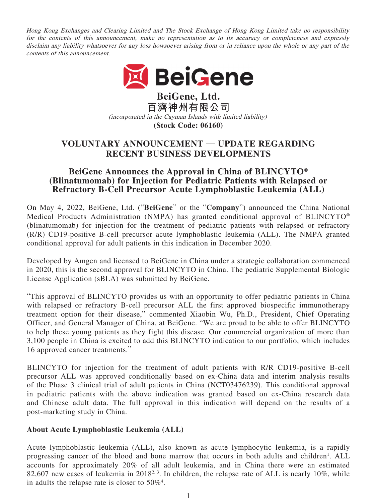Hong Kong Exchanges and Clearing Limited and The Stock Exchange of Hong Kong Limited take no responsibility for the contents of this announcement, make no representation as to its accuracy or completeness and expressly disclaim any liability whatsoever for any loss howsoever arising from or in reliance upon the whole or any part of the contents of this announcement.



**BeiGene, Ltd. 百濟神州有限公司** (incorporated in the Cayman Islands with limited liability) **(Stock Code: 06160)**

# **VOLUNTARY ANNOUNCEMENT — UPDATE REGARDING RECENT BUSINESS DEVELOPMENTS**

# **BeiGene Announces the Approval in China of BLINCYTO® (Blinatumomab) for Injection for Pediatric Patients with Relapsed or Refractory B-Cell Precursor Acute Lymphoblastic Leukemia (ALL)**

On May 4, 2022, BeiGene, Ltd. ("**BeiGene**" or the "**Company**") announced the China National Medical Products Administration (NMPA) has granted conditional approval of BLINCYTO® (blinatumomab) for injection for the treatment of pediatric patients with relapsed or refractory (R/R) CD19-positive B-cell precursor acute lymphoblastic leukemia (ALL). The NMPA granted conditional approval for adult patients in this indication in December 2020.

Developed by Amgen and licensed to BeiGene in China under a strategic collaboration commenced in 2020, this is the second approval for BLINCYTO in China. The pediatric Supplemental Biologic License Application (sBLA) was submitted by BeiGene.

"This approval of BLINCYTO provides us with an opportunity to offer pediatric patients in China with relapsed or refractory B-cell precursor ALL the first approved biospecific immunotherapy treatment option for their disease," commented Xiaobin Wu, Ph.D., President, Chief Operating Officer, and General Manager of China, at BeiGene. "We are proud to be able to offer BLINCYTO to help these young patients as they fight this disease. Our commercial organization of more than 3,100 people in China is excited to add this BLINCYTO indication to our portfolio, which includes 16 approved cancer treatments."

BLINCYTO for injection for the treatment of adult patients with R/R CD19-positive B-cell precursor ALL was approved conditionally based on ex-China data and interim analysis results of the Phase 3 clinical trial of adult patients in China (NCT03476239). This conditional approval in pediatric patients with the above indication was granted based on ex-China research data and Chinese adult data. The full approval in this indication will depend on the results of a post-marketing study in China.

#### **About Acute Lymphoblastic Leukemia (ALL)**

Acute lymphoblastic leukemia (ALL), also known as acute lymphocytic leukemia, is a rapidly progressing cancer of the blood and bone marrow that occurs in both adults and children<sup>1</sup>. ALL accounts for approximately 20% of all adult leukemia, and in China there were an estimated 82,607 new cases of leukemia in 2018<sup>2, 3</sup>. In children, the relapse rate of ALL is nearly 10%, while in adults the relapse rate is closer to  $50\%$ <sup>4</sup>.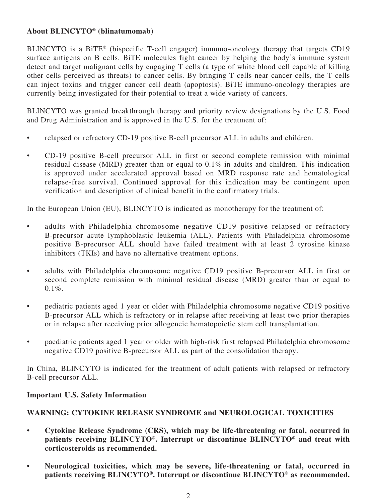# **About BLINCYTO® (blinatumomab)**

BLINCYTO is a BiTE® (bispecific T-cell engager) immuno-oncology therapy that targets CD19 surface antigens on B cells. BiTE molecules fight cancer by helping the body's immune system detect and target malignant cells by engaging T cells (a type of white blood cell capable of killing other cells perceived as threats) to cancer cells. By bringing T cells near cancer cells, the T cells can inject toxins and trigger cancer cell death (apoptosis). BiTE immuno-oncology therapies are currently being investigated for their potential to treat a wide variety of cancers.

BLINCYTO was granted breakthrough therapy and priority review designations by the U.S. Food and Drug Administration and is approved in the U.S. for the treatment of:

- relapsed or refractory CD-19 positive B-cell precursor ALL in adults and children.
- CD-19 positive B-cell precursor ALL in first or second complete remission with minimal residual disease (MRD) greater than or equal to 0.1% in adults and children. This indication is approved under accelerated approval based on MRD response rate and hematological relapse-free survival. Continued approval for this indication may be contingent upon verification and description of clinical benefit in the confirmatory trials.

In the European Union (EU), BLINCYTO is indicated as monotherapy for the treatment of:

- adults with Philadelphia chromosome negative CD19 positive relapsed or refractory B-precursor acute lymphoblastic leukemia (ALL). Patients with Philadelphia chromosome positive B-precursor ALL should have failed treatment with at least 2 tyrosine kinase inhibitors (TKIs) and have no alternative treatment options.
- adults with Philadelphia chromosome negative CD19 positive B-precursor ALL in first or second complete remission with minimal residual disease (MRD) greater than or equal to  $0.1\%$ .
- pediatric patients aged 1 year or older with Philadelphia chromosome negative CD19 positive B-precursor ALL which is refractory or in relapse after receiving at least two prior therapies or in relapse after receiving prior allogeneic hematopoietic stem cell transplantation.
- paediatric patients aged 1 year or older with high-risk first relapsed Philadelphia chromosome negative CD19 positive B-precursor ALL as part of the consolidation therapy.

In China, BLINCYTO is indicated for the treatment of adult patients with relapsed or refractory B-cell precursor ALL.

#### **Important U.S. Safety Information**

#### **WARNING: CYTOKINE RELEASE SYNDROME and NEUROLOGICAL TOXICITIES**

- **Cytokine Release Syndrome (CRS), which may be life-threatening or fatal, occurred in patients receiving BLINCYTO®. Interrupt or discontinue BLINCYTO® and treat with corticosteroids as recommended.**
- **Neurological toxicities, which may be severe, life-threatening or fatal, occurred in patients receiving BLINCYTO®. Interrupt or discontinue BLINCYTO® as recommended.**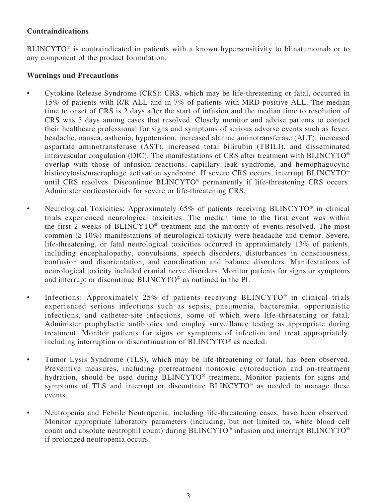# **Contraindications**

BLINCYTO<sup>®</sup> is contraindicated in patients with a known hypersensitivity to blinatumomab or to any component of the product formulation.

#### **Warnings and Precautions**

- Cytokine Release Syndrome (CRS): CRS, which may be life-threatening or fatal, occurred in 15% of patients with R/R ALL and in 7% of patients with MRD-positive ALL. The median time to onset of CRS is 2 days after the start of infusion and the median time to resolution of CRS was 5 days among cases that resolved. Closely monitor and advise patients to contact their healthcare professional for signs and symptoms of serious adverse events such as fever, headache, nausea, asthenia, hypotension, increased alanine aminotransferase (ALT), increased aspartate aminotransferase (AST), increased total bilirubin (TBILI), and disseminated intravascular coagulation (DIC). The manifestations of CRS after treatment with BLINCYTO® overlap with those of infusion reactions, capillary leak syndrome, and hemophagocytic histiocytosis/macrophage activation syndrome. If severe CRS occurs, interrupt BLINCYTO<sup>®</sup> until CRS resolves. Discontinue BLINCYTO® permanently if life-threatening CRS occurs. Administer corticosteroids for severe or life-threatening CRS.
- Neurological Toxicities: Approximately 65% of patients receiving BLINCYTO<sup>®</sup> in clinical trials experienced neurological toxicities. The median time to the first event was within the first 2 weeks of BLINCYTO® treatment and the majority of events resolved. The most common (≥ 10%) manifestations of neurological toxicity were headache and tremor. Severe, life-threatening, or fatal neurological toxicities occurred in approximately 13% of patients, including encephalopathy, convulsions, speech disorders, disturbances in consciousness, confusion and disorientation, and coordination and balance disorders. Manifestations of neurological toxicity included cranial nerve disorders. Monitor patients for signs or symptoms and interrupt or discontinue BLINCYTO® as outlined in the PI.
- Infections: Approximately 25% of patients receiving BLINCYTO<sup>®</sup> in clinical trials experienced serious infections such as sepsis, pneumonia, bacteremia, opportunistic infections, and catheter-site infections, some of which were life-threatening or fatal. Administer prophylactic antibiotics and employ surveillance testing as appropriate during treatment. Monitor patients for signs or symptoms of infection and treat appropriately, including interruption or discontinuation of BLINCYTO® as needed.
- Tumor Lysis Syndrome (TLS), which may be life-threatening or fatal, has been observed. Preventive measures, including pretreatment nontoxic cytoreduction and on-treatment hydration, should be used during BLINCYTO® treatment. Monitor patients for signs and symptoms of TLS and interrupt or discontinue BLINCYTO<sup>®</sup> as needed to manage these events.
- Neutropenia and Febrile Neutropenia, including life-threatening cases, have been observed. Monitor appropriate laboratory parameters (including, but not limited to, white blood cell count and absolute neutrophil count) during BLINCYTO® infusion and interrupt BLINCYTO® if prolonged neutropenia occurs.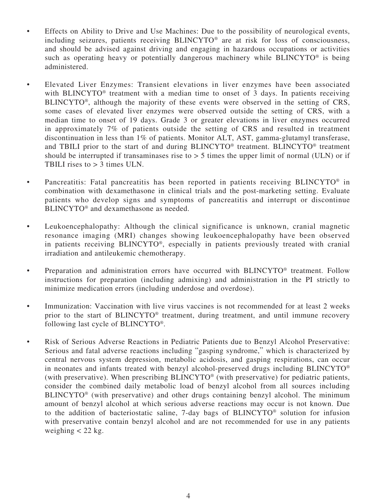- Effects on Ability to Drive and Use Machines: Due to the possibility of neurological events, including seizures, patients receiving BLINCYTO® are at risk for loss of consciousness, and should be advised against driving and engaging in hazardous occupations or activities such as operating heavy or potentially dangerous machinery while BLINCYTO® is being administered.
- Elevated Liver Enzymes: Transient elevations in liver enzymes have been associated with BLINCYTO<sup>®</sup> treatment with a median time to onset of 3 days. In patients receiving BLINCYTO®, although the majority of these events were observed in the setting of CRS, some cases of elevated liver enzymes were observed outside the setting of CRS, with a median time to onset of 19 days. Grade 3 or greater elevations in liver enzymes occurred in approximately 7% of patients outside the setting of CRS and resulted in treatment discontinuation in less than 1% of patients. Monitor ALT, AST, gamma-glutamyl transferase, and TBILI prior to the start of and during BLINCYTO® treatment. BLINCYTO® treatment should be interrupted if transaminases rise to  $> 5$  times the upper limit of normal (ULN) or if TBILI rises to > 3 times ULN.
- Pancreatitis: Fatal pancreatitis has been reported in patients receiving BLINCYTO<sup>®</sup> in combination with dexamethasone in clinical trials and the post-marketing setting. Evaluate patients who develop signs and symptoms of pancreatitis and interrupt or discontinue BLINCYTO<sup>®</sup> and dexamethasone as needed.
- Leukoencephalopathy: Although the clinical significance is unknown, cranial magnetic resonance imaging (MRI) changes showing leukoencephalopathy have been observed in patients receiving BLINCYTO®, especially in patients previously treated with cranial irradiation and antileukemic chemotherapy.
- Preparation and administration errors have occurred with BLINCYTO<sup>®</sup> treatment. Follow instructions for preparation (including admixing) and administration in the PI strictly to minimize medication errors (including underdose and overdose).
- Immunization: Vaccination with live virus vaccines is not recommended for at least 2 weeks prior to the start of BLINCYTO® treatment, during treatment, and until immune recovery following last cycle of BLINCYTO®.
- Risk of Serious Adverse Reactions in Pediatric Patients due to Benzyl Alcohol Preservative: Serious and fatal adverse reactions including "gasping syndrome," which is characterized by central nervous system depression, metabolic acidosis, and gasping respirations, can occur in neonates and infants treated with benzyl alcohol-preserved drugs including BLINCYTO® (with preservative). When prescribing BLINCYTO® (with preservative) for pediatric patients, consider the combined daily metabolic load of benzyl alcohol from all sources including BLINCYTO® (with preservative) and other drugs containing benzyl alcohol. The minimum amount of benzyl alcohol at which serious adverse reactions may occur is not known. Due to the addition of bacteriostatic saline, 7-day bags of BLINCYTO® solution for infusion with preservative contain benzyl alcohol and are not recommended for use in any patients weighing  $<$  22 kg.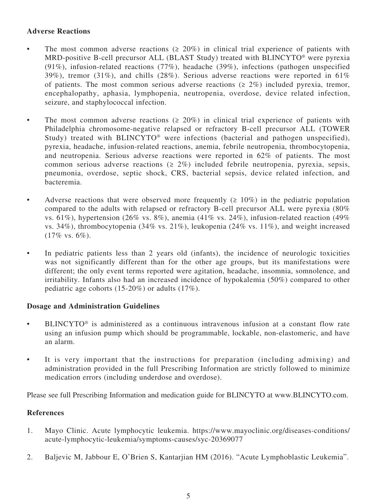### **Adverse Reactions**

- The most common adverse reactions  $(2.20\%)$  in clinical trial experience of patients with MRD-positive B-cell precursor ALL (BLAST Study) treated with BLINCYTO® were pyrexia (91%), infusion-related reactions (77%), headache (39%), infections (pathogen unspecified 39%), tremor (31%), and chills (28%). Serious adverse reactions were reported in 61% of patients. The most common serious adverse reactions ( $\geq 2\%$ ) included pyrexia, tremor, encephalopathy, aphasia, lymphopenia, neutropenia, overdose, device related infection, seizure, and staphylococcal infection.
- The most common adverse reactions  $(2.20\%)$  in clinical trial experience of patients with Philadelphia chromosome-negative relapsed or refractory B-cell precursor ALL (TOWER Study) treated with BLINCYTO® were infections (bacterial and pathogen unspecified), pyrexia, headache, infusion-related reactions, anemia, febrile neutropenia, thrombocytopenia, and neutropenia. Serious adverse reactions were reported in 62% of patients. The most common serious adverse reactions ( $\geq 2\%$ ) included febrile neutropenia, pyrexia, sepsis, pneumonia, overdose, septic shock, CRS, bacterial sepsis, device related infection, and bacteremia.
- Adverse reactions that were observed more frequently  $(2 10\%)$  in the pediatric population compared to the adults with relapsed or refractory B-cell precursor ALL were pyrexia (80% vs. 61%), hypertension (26% vs. 8%), anemia (41% vs. 24%), infusion-related reaction (49% vs. 34%), thrombocytopenia (34% vs. 21%), leukopenia (24% vs. 11%), and weight increased (17% vs. 6%).
- In pediatric patients less than 2 years old (infants), the incidence of neurologic toxicities was not significantly different than for the other age groups, but its manifestations were different; the only event terms reported were agitation, headache, insomnia, somnolence, and irritability. Infants also had an increased incidence of hypokalemia (50%) compared to other pediatric age cohorts (15-20%) or adults (17%).

#### **Dosage and Administration Guidelines**

- BLINCYTO® is administered as a continuous intravenous infusion at a constant flow rate using an infusion pump which should be programmable, lockable, non-elastomeric, and have an alarm.
- It is very important that the instructions for preparation (including admixing) and administration provided in the full Prescribing Information are strictly followed to minimize medication errors (including underdose and overdose).

Please see full Prescribing Information and medication guide for BLINCYTO at www.BLINCYTO.com.

#### **References**

- 1. Mayo Clinic. Acute lymphocytic leukemia. https://www.mayoclinic.org/diseases-conditions/ acute-lymphocytic-leukemia/symptoms-causes/syc-20369077
- 2. Baljevic M, Jabbour E, O'Brien S, Kantarjian HM (2016). "Acute Lymphoblastic Leukemia".